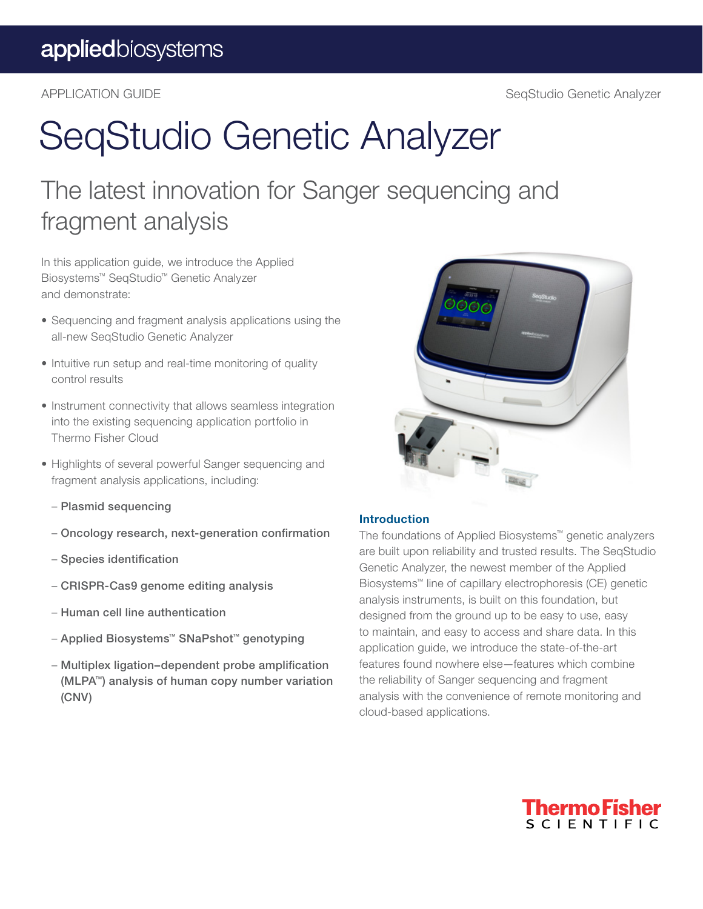## SeqStudio Genetic Analyzer

### The latest innovation for Sanger sequencing and fragment analysis

In this application guide, we introduce the Applied Biosystems™ SeqStudio™ Genetic Analyzer and demonstrate:

- Sequencing and fragment analysis applications using the all-new SeqStudio Genetic Analyzer
- Intuitive run setup and real-time monitoring of quality control results
- Instrument connectivity that allows seamless integration into the existing sequencing application portfolio in Thermo Fisher Cloud
- Highlights of several powerful Sanger sequencing and fragment analysis applications, including:
	- Plasmid sequencing
	- Oncology research, next-generation confirmation
	- Species identification
	- CRISPR-Cas9 genome editing analysis
	- Human cell line authentication
	- Applied Biosystems™ SNaPshot™ genotyping
	- Multiplex ligation–dependent probe amplification (MLPA™) analysis of human copy number variation (CNV)



#### Introduction

The foundations of Applied Biosystems™ genetic analyzers are built upon reliability and trusted results. The SeqStudio Genetic Analyzer, the newest member of the Applied Biosystems™ line of capillary electrophoresis (CE) genetic analysis instruments, is built on this foundation, but designed from the ground up to be easy to use, easy to maintain, and easy to access and share data. In this application guide, we introduce the state-of-the-art features found nowhere else—features which combine the reliability of Sanger sequencing and fragment analysis with the convenience of remote monitoring and cloud-based applications.

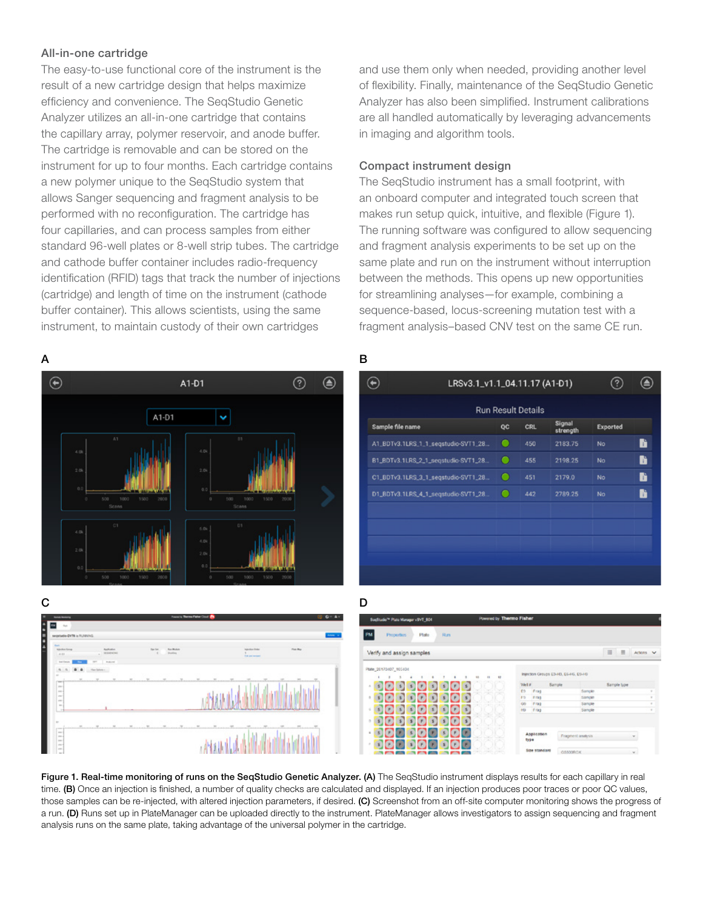#### All-in-one cartridge

The easy-to-use functional core of the instrument is the result of a new cartridge design that helps maximize efficiency and convenience. The SeqStudio Genetic Analyzer utilizes an all-in-one cartridge that contains the capillary array, polymer reservoir, and anode buffer. The cartridge is removable and can be stored on the instrument for up to four months. Each cartridge contains a new polymer unique to the SeqStudio system that allows Sanger sequencing and fragment analysis to be performed with no reconfiguration. The cartridge has four capillaries, and can process samples from either standard 96-well plates or 8-well strip tubes. The cartridge and cathode buffer container includes radio-frequency identification (RFID) tags that track the number of injections (cartridge) and length of time on the instrument (cathode buffer container). This allows scientists, using the same instrument, to maintain custody of their own cartridges

and use them only when needed, providing another level of flexibility. Finally, maintenance of the SeqStudio Genetic Analyzer has also been simplified. Instrument calibrations are all handled automatically by leveraging advancements in imaging and algorithm tools.

#### Compact instrument design

The SeqStudio instrument has a small footprint, with an onboard computer and integrated touch screen that makes run setup quick, intuitive, and flexible (Figure 1). The running software was configured to allow sequencing and fragment analysis experiments to be set up on the same plate and run on the instrument without interruption between the methods. This opens up new opportunities for streamlining analyses—for example, combining a sequence-based, locus-screening mutation test with a fragment analysis–based CNV test on the same CE run.



Figure 1. Real-time monitoring of runs on the SeqStudio Genetic Analyzer. (A) The SeqStudio instrument displays results for each capillary in real time. (B) Once an injection is finished, a number of quality checks are calculated and displayed. If an injection produces poor traces or poor QC values, those samples can be re-injected, with altered injection parameters, if desired. (C) Screenshot from an off-site computer monitoring shows the progress of a run. (D) Runs set up in PlateManager can be uploaded directly to the instrument. PlateManager allows investigators to assign sequencing and fragment analysis runs on the same plate, taking advantage of the universal polymer in the cartridge.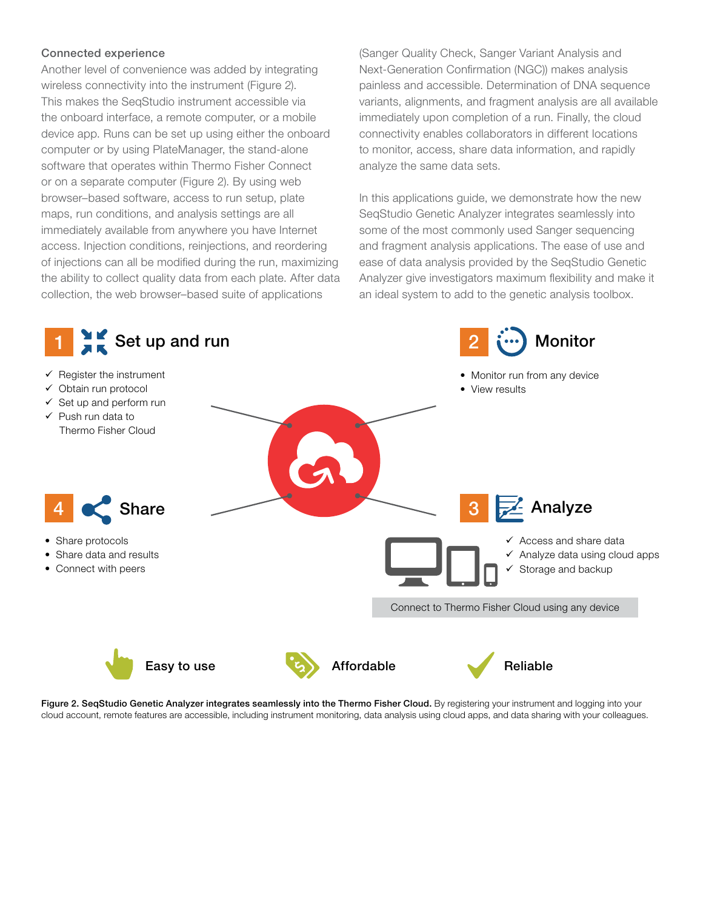#### Connected experience

Another level of convenience was added by integrating wireless connectivity into the instrument (Figure 2). This makes the SeqStudio instrument accessible via the onboard interface, a remote computer, or a mobile device app. Runs can be set up using either the onboard computer or by using PlateManager, the stand-alone software that operates within Thermo Fisher Connect or on a separate computer (Figure 2). By using web browser–based software, access to run setup, plate maps, run conditions, and analysis settings are all immediately available from anywhere you have Internet access. Injection conditions, reinjections, and reordering of injections can all be modified during the run, maximizing the ability to collect quality data from each plate. After data collection, the web browser–based suite of applications

(Sanger Quality Check, Sanger Variant Analysis and Next-Generation Confirmation (NGC)) makes analysis painless and accessible. Determination of DNA sequence variants, alignments, and fragment analysis are all available immediately upon completion of a run. Finally, the cloud connectivity enables collaborators in different locations to monitor, access, share data information, and rapidly analyze the same data sets.

In this applications guide, we demonstrate how the new SeqStudio Genetic Analyzer integrates seamlessly into some of the most commonly used Sanger sequencing and fragment analysis applications. The ease of use and ease of data analysis provided by the SeqStudio Genetic Analyzer give investigators maximum flexibility and make it an ideal system to add to the genetic analysis toolbox.



Figure 2. SeqStudio Genetic Analyzer integrates seamlessly into the Thermo Fisher Cloud. By registering your instrument and logging into your cloud account, remote features are accessible, including instrument monitoring, data analysis using cloud apps, and data sharing with your colleagues.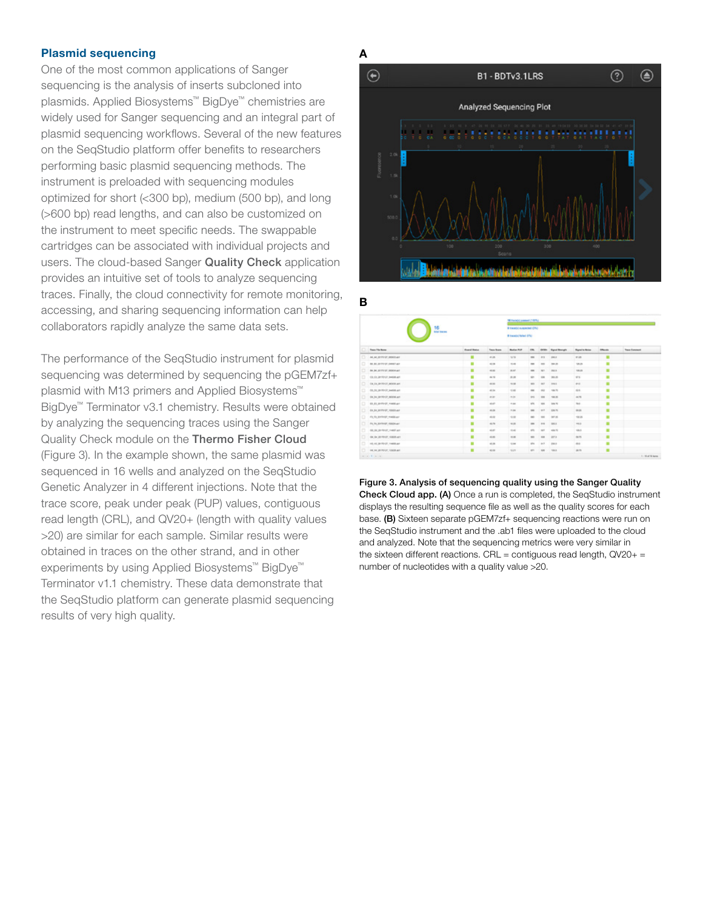#### Plasmid sequencing

One of the most common applications of Sanger sequencing is the analysis of inserts subcloned into plasmids. Applied Biosystems™ BigDye™ chemistries are widely used for Sanger sequencing and an integral part of plasmid sequencing workflows. Several of the new features on the SeqStudio platform offer benefits to researchers performing basic plasmid sequencing methods. The instrument is preloaded with sequencing modules optimized for short (<300 bp), medium (500 bp), and long (>600 bp) read lengths, and can also be customized on the instrument to meet specific needs. The swappable cartridges can be associated with individual projects and users. The cloud-based Sanger Quality Check application provides an intuitive set of tools to analyze sequencing traces. Finally, the cloud connectivity for remote monitoring, accessing, and sharing sequencing information can help collaborators rapidly analyze the same data sets.

The performance of the SeqStudio instrument for plasmid sequencing was determined by sequencing the pGEM7zf+ plasmid with M13 primers and Applied Biosystems<sup>™</sup> BigDye™ Terminator v3.1 chemistry. Results were obtained by analyzing the sequencing traces using the Sanger Quality Check module on the [Thermo Fisher Cloud](http://www.thermofisher.com/us/en/home/cloud.html) (Figure 3). In the example shown, the same plasmid was sequenced in 16 wells and analyzed on the SeqStudio Genetic Analyzer in 4 different injections. Note that the trace score, peak under peak (PUP) values, contiguous read length (CRL), and QV20+ (length with quality values >20) are similar for each sample. Similar results were obtained in traces on the other strand, and in other experiments by using Applied Biosystems™ BigDye™ Terminator v1.1 chemistry. These data demonstrate that the SeqStudio platform can generate plasmid sequencing results of very high quality.



|   |                                    |                                          |                  |                                                           | <b>18 Farm(s) connect (1974)</b> |               |                           |                         |           |                      |
|---|------------------------------------|------------------------------------------|------------------|-----------------------------------------------------------|----------------------------------|---------------|---------------------------|-------------------------|-----------|----------------------|
|   |                                    | 16<br><b><i><u>SHAFF BARTING</u></i></b> |                  | <b>9 Easterly Incapacted (DS)</b><br># twelvi falsel (PM) |                                  |               |                           |                         |           |                      |
|   | <b>They Fly Bone</b>               | <b>Donal Bates</b>                       | <b>Saw Brank</b> | <b>Business Must</b>                                      | dm.                              |               | <b>Orley Band Brangle</b> | <b>Report to Normal</b> | Offensive | <b>Trace Comment</b> |
| o | ALAL DITTINT DOMESTIC              | ٠                                        | 41.85            | 32.74                                                     | $\sim$                           | 10.8          | <b>VALL</b>               | anas.                   | ٠         |                      |
| ۰ | BE BE SEVINGT DANK! WIT            | ٠                                        | 42.06            | 7.41                                                      | $\equiv$                         | <b>SH</b>     | 194.25                    | 105.05                  | ٠         |                      |
| ۰ | BA BA JEVINGY (MODALAN)            | ٠                                        | 43.80            | mar.                                                      | $\equiv$                         | 147           | <b>IRE &amp;</b>          | 19.25                   | ٠         |                      |
| ۰ | CA IN JERRY DANIELES               | ٠                                        | 44.75            | 8.86                                                      | sin                              | <b>HM</b>     | 183.26                    | sh.                     | ٠         |                      |
| ۰ | OLD JEROED MININGS                 | ٠                                        | 41.91            | $^{+0.06}$                                                | $\frac{1}{2}$                    | $\frac{1}{2}$ | <b>STAL</b>               | grad.                   | ٠         |                      |
| ۰ | On his perfective basket and       | ٠                                        | 42.bs            | 10.61                                                     | $\rightarrow$                    | $-$           | $-20.76$                  | 62.6                    | ٠         |                      |
| ۰ | OLD JERRY MINLAN                   | ٠                                        | 41.21            | $-1.01$                                                   | 100                              | $\cdots$      | 198.89                    | $44.76$                 | ٠         |                      |
| ۰ | <b>BX 83 SERVICE HARRAST</b>       | ٠                                        | state.           | $-1.04$                                                   | 404                              | <b>MAG</b>    | lates As                  | ms.                     | ٠         |                      |
| o | <b>BULLIVING</b> , SBSIMI          | ٠                                        | 43.24            | $-1.08$                                                   | $\frac{1}{2}$                    | 48.3          | <b>EMA PS</b>             | mas                     | ٠         |                      |
| ۰ | IS IS SHOWN WARRANT                | ٠                                        | 43.65            | 4.8                                                       | $\sim$                           | $\sim$        | <b>MF-36</b>              | $-00.08$                | ٠         |                      |
| o | IN IN EXTRAP HASNACT               | ٠                                        | 43.79            | W                                                         | $\overline{\phantom{a}}$         | 100           | 106.4                     | $-0.0$                  | ٠         |                      |
| ۰ | 49.94 SHRAP HARVAY                 | ٠                                        | 63.67            | $-0.45$                                                   | $\frac{1}{2}$                    | $^{***}$      | mint Fil                  | $-0.8$                  | ٠         |                      |
| ۰ | de la pirmon statistant            | ٠                                        | 63.85            | 10.00                                                     | $\sim$                           | <b>SHE</b>    | ppt at                    | m n                     | ٠         |                      |
| ۰ | Information Provides International | ۰                                        | 43.36            | $-0.04$                                                   | anta.                            | $10^{-1}$     | <b>JOIN A</b>             | $^{46}$                 | ٠         |                      |
|   | The recommendation resonance       | ٠                                        | \$2.00           | 9.31                                                      | and it                           | <b>SOR</b>    | $-106.6$                  | 进程                      | ٠         |                      |

Figure 3. Analysis of sequencing quality using the Sanger Quality Check Cloud app. (A) Once a run is completed, the SeqStudio instrument displays the resulting sequence file as well as the quality scores for each base. (B) Sixteen separate pGEM7zf+ sequencing reactions were run on the SeqStudio instrument and the .ab1 files were uploaded to the cloud and analyzed. Note that the sequencing metrics were very similar in the sixteen different reactions. CRL = contiguous read length,  $QV20+$  = number of nucleotides with a quality value >20.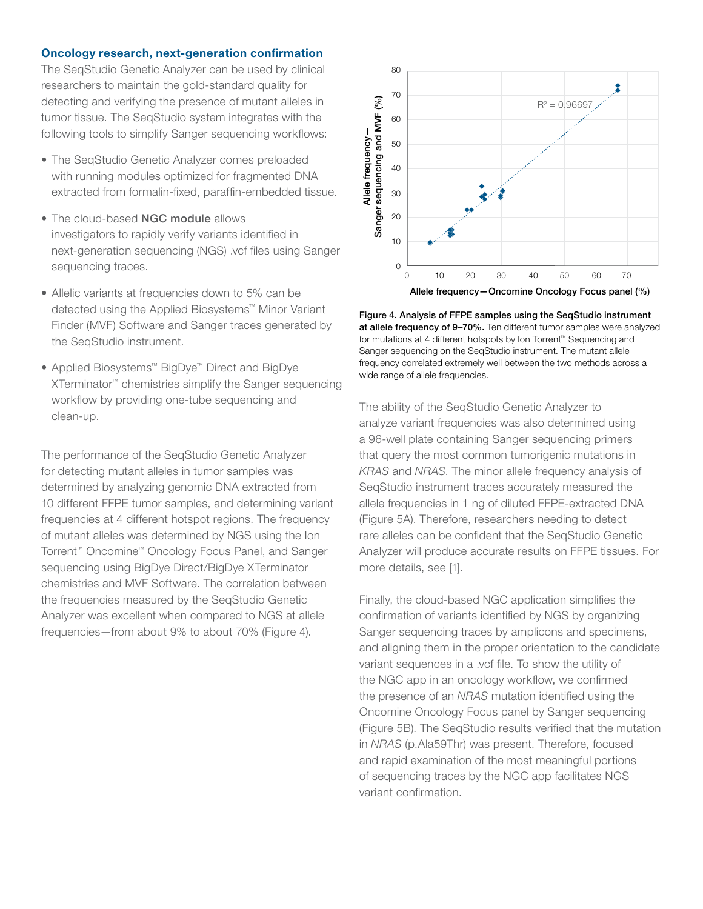#### Oncology research, next-generation confirmation

The SeqStudio Genetic Analyzer can be used by clinical researchers to maintain the gold-standard quality for detecting and verifying the presence of mutant alleles in tumor tissue. The SeqStudio system integrates with the following tools to simplify Sanger sequencing workflows:

- The SeqStudio Genetic Analyzer comes preloaded with running modules optimized for fragmented DNA extracted from formalin-fixed, paraffin-embedded tissue.
- The cloud-based [NGC module](https://apps.thermofisher.com/apps/dashboard/#/apps) allows investigators to rapidly verify variants identified in next-generation sequencing (NGS) .vcf files using Sanger sequencing traces.
- Allelic variants at frequencies down to 5% can be detected using the Applied Biosystems™ Minor Variant Finder (MVF) Software and Sanger traces generated by the SeqStudio instrument.
- Applied Biosystems™ BigDye™ Direct and BigDye XTerminator™ chemistries simplify the Sanger sequencing workflow by providing one-tube sequencing and clean-up.

The performance of the SeqStudio Genetic Analyzer for detecting mutant alleles in tumor samples was determined by analyzing genomic DNA extracted from 10 different FFPE tumor samples, and determining variant frequencies at 4 different hotspot regions. The frequency of mutant alleles was determined by NGS using the Ion Torrent™ Oncomine™ Oncology Focus Panel, and Sanger sequencing using BigDye Direct/BigDye XTerminator chemistries and MVF Software. The correlation between the frequencies measured by the SeqStudio Genetic Analyzer was excellent when compared to NGS at allele frequencies—from about 9% to about 70% (Figure 4).



Figure 4. Analysis of FFPE samples using the SeqStudio instrument at allele frequency of 9–70%. Ten different tumor samples were analyzed for mutations at 4 different hotspots by Ion Torrent™ Sequencing and Sanger sequencing on the SeqStudio instrument. The mutant allele frequency correlated extremely well between the two methods across a wide range of allele frequencies.

The ability of the SeqStudio Genetic Analyzer to analyze variant frequencies was also determined using a 96-well plate containing Sanger sequencing primers that query the most common tumorigenic mutations in *KRAS* and *NRAS*. The minor allele frequency analysis of SeqStudio instrument traces accurately measured the allele frequencies in 1 ng of diluted FFPE-extracted DNA (Figure 5A). Therefore, researchers needing to detect rare alleles can be confident that the SeqStudio Genetic Analyzer will produce accurate results on FFPE tissues. For more details, see [1].

Finally, the cloud-based NGC application simplifies the confirmation of variants identified by NGS by organizing Sanger sequencing traces by amplicons and specimens, and aligning them in the proper orientation to the candidate variant sequences in a .vcf file. To show the utility of the NGC app in an oncology workflow, we confirmed the presence of an *NRAS* mutation identified using the Oncomine Oncology Focus panel by Sanger sequencing (Figure 5B). The SeqStudio results verified that the mutation in *NRAS* (p.Ala59Thr) was present. Therefore, focused and rapid examination of the most meaningful portions of sequencing traces by the NGC app facilitates NGS variant confirmation.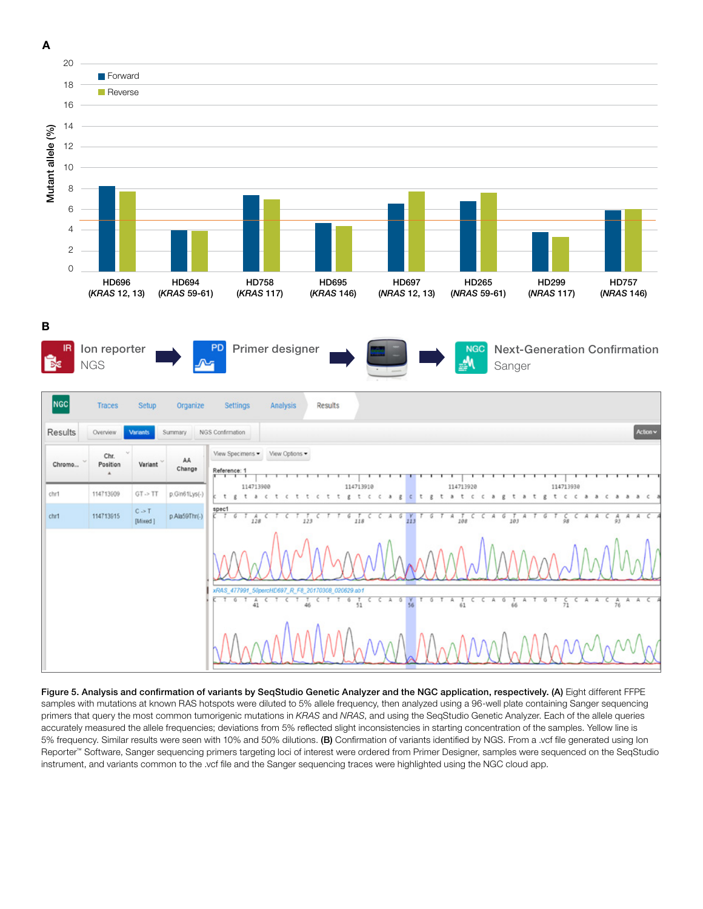







Figure 5. Analysis and confirmation of variants by SeqStudio Genetic Analyzer and the NGC application, respectively. (A) Eight different FFPE samples with mutations at known RAS hotspots were diluted to 5% allele frequency, then analyzed using a 96-well plate containing Sanger sequencing primers that query the most common tumorigenic mutations in *KRAS* and *NRAS*, and using the SeqStudio Genetic Analyzer. Each of the allele queries accurately measured the allele frequencies; deviations from 5% reflected slight inconsistencies in starting concentration of the samples. Yellow line is 5% frequency. Similar results were seen with 10% and 50% dilutions. (B) Confirmation of variants identified by NGS. From a .vcf file generated using Ion Reporter™ Software, Sanger sequencing primers targeting loci of interest were ordered from Primer Designer, samples were sequenced on the SeqStudio instrument, and variants common to the .vcf file and the Sanger sequencing traces were highlighted using the NGC cloud app.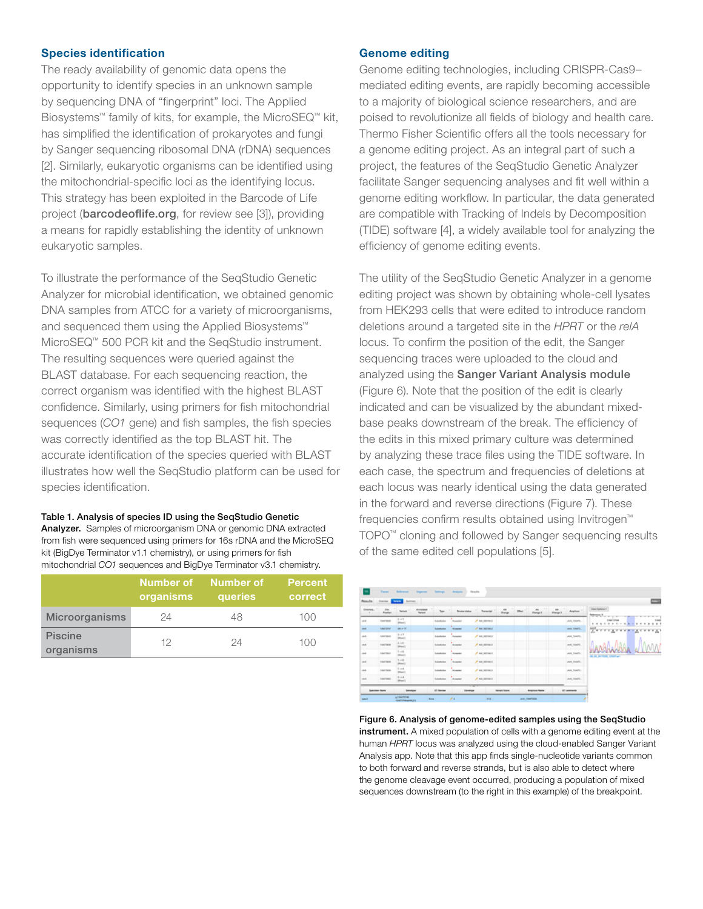#### Species identification

The ready availability of genomic data opens the opportunity to identify species in an unknown sample by sequencing DNA of "fingerprint" loci. The Applied Biosystems™ family of kits, for example, the MicroSEQ™ kit, has simplified the identification of prokaryotes and fungi by Sanger sequencing ribosomal DNA (rDNA) sequences [2]. Similarly, eukaryotic organisms can be identified using the mitochondrial-specific loci as the identifying locus. This strategy has been exploited in the Barcode of Life project ([barcodeoflife.org](http://www.barcodeoflife.org), for review see [3]), providing a means for rapidly establishing the identity of unknown eukaryotic samples.

To illustrate the performance of the SeqStudio Genetic Analyzer for microbial identification, we obtained genomic DNA samples from ATCC for a variety of microorganisms, and sequenced them using the Applied Biosystems™ MicroSEQ™ 500 PCR kit and the SeqStudio instrument. The resulting sequences were queried against the BLAST database. For each sequencing reaction, the correct organism was identified with the highest BLAST confidence. Similarly, using primers for fish mitochondrial sequences (*CO1* gene) and fish samples, the fish species was correctly identified as the top BLAST hit. The accurate identification of the species queried with BLAST illustrates how well the SeqStudio platform can be used for species identification.

#### Table 1. Analysis of species ID using the SeqStudio Genetic

Analyzer. Samples of microorganism DNA or genomic DNA extracted from fish were sequenced using primers for 16s rDNA and the MicroSEQ kit (BigDye Terminator v1.1 chemistry), or using primers for fish mitochondrial *CO1* sequences and BigDye Terminator v3.1 chemistry.

|                             | organisms | Number of Number of<br>queries | <b>Percent</b><br>correct |
|-----------------------------|-----------|--------------------------------|---------------------------|
| <b>Microorganisms</b>       | 24        | 48                             | 100                       |
| <b>Piscine</b><br>organisms | 12        | 24                             | 100                       |

#### Genome editing

Genome editing technologies, including CRISPR-Cas9– mediated editing events, are rapidly becoming accessible to a majority of biological science researchers, and are poised to revolutionize all fields of biology and health care. Thermo Fisher Scientific offers all the tools necessary for a genome editing project. As an integral part of such a project, the features of the SeqStudio Genetic Analyzer facilitate Sanger sequencing analyses and fit well within a genome editing workflow. In particular, the data generated are compatible with Tracking of Indels by Decomposition (TIDE) software [4], a widely available tool for analyzing the efficiency of genome editing events.

The utility of the SeqStudio Genetic Analyzer in a genome editing project was shown by obtaining whole-cell lysates from HEK293 cells that were edited to introduce random deletions around a targeted site in the *HPRT* or the *relA*  locus. To confirm the position of the edit, the Sanger sequencing traces were uploaded to the cloud and analyzed using the [Sanger Variant Analysis module](https://apps.thermofisher.com/apps/dashboard/#/apps) (Figure 6). Note that the position of the edit is clearly indicated and can be visualized by the abundant mixedbase peaks downstream of the break. The efficiency of the edits in this mixed primary culture was determined by analyzing these trace files using the TIDE software. In each case, the spectrum and frequencies of deletions at each locus was nearly identical using the data generated in the forward and reverse directions (Figure 7). These frequencies confirm results obtained using Invitrogen™ TOPO™ cloning and followed by Sanger sequencing results of the same edited cell populations [5].

| - 1<br>as.<br><b>Electrician</b><br>the<br>$\overline{a}$<br>$\rightarrow$<br><b>Terms</b><br><b>Service</b><br><b>Served</b><br>$v_{\text{max}}$<br><b>Review status</b><br>Arabas.<br><b>Day</b><br>$\rightarrow$<br><b>Forder</b><br><b>Dange 3</b><br><b>Blange II</b><br>$rac{0.47}{1000}$<br>$P$ as assura-<br>$\sin\theta$<br><b>Bulletillupine</b><br>OWTABE<br>Auswarted<br>and, rawful<br>ARL PTF<br><b>A ser permana</b><br>casturer<br><b><i><u>Summator</u></i></b><br>Australia<br>and casers.<br>$8 - 1$<br><b>Sunday</b><br>A secretary<br>124730-0<br>AVE, FAMIS<br><b>Rompiled</b><br><b>Block</b> 1<br>4.50<br><b>Southern</b><br>$P$ we recover<br>ank rawfu.<br><b>CANTING</b><br>Austral<br>(Moor)<br>$V = 0$<br>$A$ we serve a<br><b>CARTINI</b><br>Scholtzster<br><b>Accepted</b> | View Options A<br><b>March Company and Company of the Company of the Company of the Company of the Company of the Company of the Company</b><br>Links Univer<br>. <u>. .</u><br>Zerregrade gearing<br>WALTERTS<br><b>IA AL IN YORK CORP AND</b><br>and rawful |
|-----------------------------------------------------------------------------------------------------------------------------------------------------------------------------------------------------------------------------------------------------------------------------------------------------------------------------------------------------------------------------------------------------------------------------------------------------------------------------------------------------------------------------------------------------------------------------------------------------------------------------------------------------------------------------------------------------------------------------------------------------------------------------------------------------------|---------------------------------------------------------------------------------------------------------------------------------------------------------------------------------------------------------------------------------------------------------------|
|                                                                                                                                                                                                                                                                                                                                                                                                                                                                                                                                                                                                                                                                                                                                                                                                           |                                                                                                                                                                                                                                                               |
| <b>INTE</b><br>$^{46}$                                                                                                                                                                                                                                                                                                                                                                                                                                                                                                                                                                                                                                                                                                                                                                                    |                                                                                                                                                                                                                                                               |
|                                                                                                                                                                                                                                                                                                                                                                                                                                                                                                                                                                                                                                                                                                                                                                                                           |                                                                                                                                                                                                                                                               |
| $+1$<br>$-44$                                                                                                                                                                                                                                                                                                                                                                                                                                                                                                                                                                                                                                                                                                                                                                                             |                                                                                                                                                                                                                                                               |
|                                                                                                                                                                                                                                                                                                                                                                                                                                                                                                                                                                                                                                                                                                                                                                                                           |                                                                                                                                                                                                                                                               |
| <b>Billear</b> I                                                                                                                                                                                                                                                                                                                                                                                                                                                                                                                                                                                                                                                                                                                                                                                          |                                                                                                                                                                                                                                                               |
| $T \rightarrow 0$<br>m<br><b>Substitution</b><br>ConTable<br>$P$ we assume a<br><b>Romando</b><br><b>SRAUT</b>                                                                                                                                                                                                                                                                                                                                                                                                                                                                                                                                                                                                                                                                                            |                                                                                                                                                                                                                                                               |
| 6.44<br>$-44$<br>A MUSEUM 3<br><b>TAKTER</b><br>School class<br>JAN. TOWN.<br><b>Accepted</b><br>Different D                                                                                                                                                                                                                                                                                                                                                                                                                                                                                                                                                                                                                                                                                              |                                                                                                                                                                                                                                                               |
| $0 + 4$<br>stat.<br>CHATING:<br>$P$ we recover a<br>and rawful<br><b>Revenue</b><br>Accepted<br>Silver 1                                                                                                                                                                                                                                                                                                                                                                                                                                                                                                                                                                                                                                                                                                  |                                                                                                                                                                                                                                                               |

Figure 6. Analysis of genome-edited samples using the SeqStudio instrument. A mixed population of cells with a genome editing event at the human *HPRT* locus was analyzed using the cloud-enabled Sanger Variant Analysis app. Note that this app finds single-nucleotide variants common to both forward and reverse strands, but is also able to detect where the genome cleavage event occurred, producing a population of mixed sequences downstream (to the right in this example) of the breakpoint.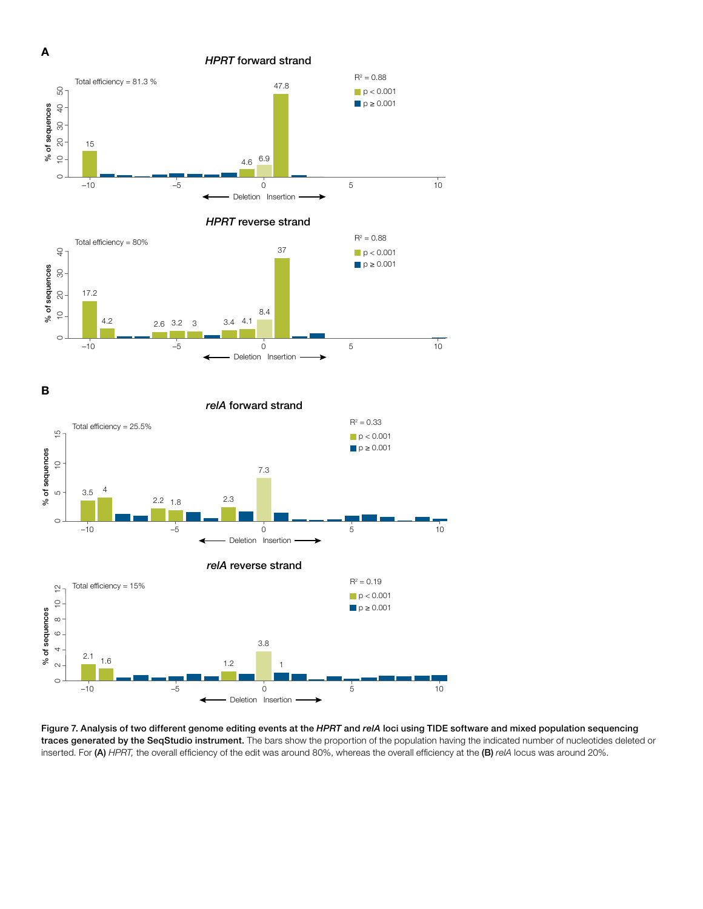

*HPRT* reverse strand



B





Figure 7. Analysis of two different genome editing events at the *HPRT* and *relA* loci using TIDE software and mixed population sequencing traces generated by the SeqStudio instrument. The bars show the proportion of the population having the indicated number of nucleotides deleted or inserted. For (A) *HPRT,* the overall efficiency of the edit was around 80%, whereas the overall efficiency at the (B) *relA* locus was around 20%.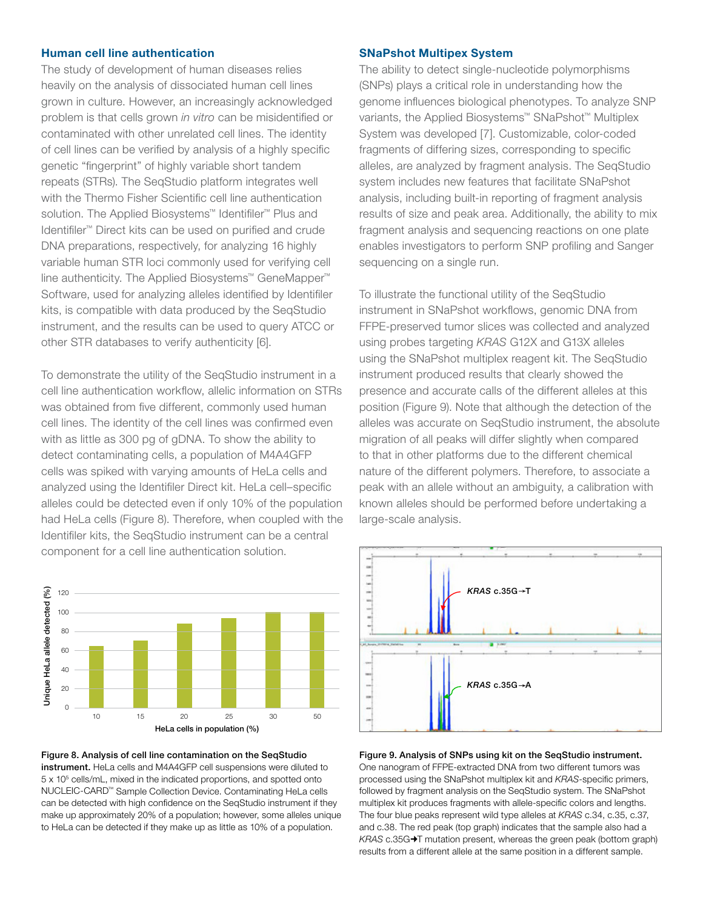#### Human cell line authentication

The study of development of human diseases relies heavily on the analysis of dissociated human cell lines grown in culture. However, an increasingly acknowledged problem is that cells grown *in vitro* can be misidentified or contaminated with other unrelated cell lines. The identity of cell lines can be verified by analysis of a highly specific genetic "fingerprint" of highly variable short tandem repeats (STRs). The SeqStudio platform integrates well with the Thermo Fisher Scientific cell line authentication solution. The Applied Biosystems™ Identifiler™ Plus and Identifiler™ Direct kits can be used on purified and crude DNA preparations, respectively, for analyzing 16 highly variable human STR loci commonly used for verifying cell line authenticity. The Applied Biosystems™ GeneMapper™ Software, used for analyzing alleles identified by Identifiler kits, is compatible with data produced by the SeqStudio instrument, and the results can be used to query ATCC or other STR databases to verify authenticity [6].

To demonstrate the utility of the SeqStudio instrument in a cell line authentication workflow, allelic information on STRs was obtained from five different, commonly used human cell lines. The identity of the cell lines was confirmed even with as little as 300 pg of gDNA. To show the ability to detect contaminating cells, a population of M4A4GFP cells was spiked with varying amounts of HeLa cells and analyzed using the Identifiler Direct kit. HeLa cell–specific alleles could be detected even if only 10% of the population had HeLa cells (Figure 8). Therefore, when coupled with the Identifiler kits, the SeqStudio instrument can be a central component for a cell line authentication solution.



Figure 8. Analysis of cell line contamination on the SeqStudio instrument. HeLa cells and M4A4GFP cell suspensions were diluted to 5 x 105 cells/mL, mixed in the indicated proportions, and spotted onto NUCLEIC-CARD™ Sample Collection Device. Contaminating HeLa cells can be detected with high confidence on the SeqStudio instrument if they make up approximately 20% of a population; however, some alleles unique to HeLa can be detected if they make up as little as 10% of a population.

#### SNaPshot Multipex System

The ability to detect single-nucleotide polymorphisms (SNPs) plays a critical role in understanding how the genome influences biological phenotypes. To analyze SNP variants, the Applied Biosystems™ SNaPshot™ Multiplex System was developed [7]. Customizable, color-coded fragments of differing sizes, corresponding to specific alleles, are analyzed by fragment analysis. The SeqStudio system includes new features that facilitate SNaPshot analysis, including built-in reporting of fragment analysis results of size and peak area. Additionally, the ability to mix fragment analysis and sequencing reactions on one plate enables investigators to perform SNP profiling and Sanger sequencing on a single run.

To illustrate the functional utility of the SeqStudio instrument in SNaPshot workflows, genomic DNA from FFPE-preserved tumor slices was collected and analyzed using probes targeting *KRAS* G12X and G13X alleles using the SNaPshot multiplex reagent kit. The SeqStudio instrument produced results that clearly showed the presence and accurate calls of the different alleles at this position (Figure 9). Note that although the detection of the alleles was accurate on SeqStudio instrument, the absolute migration of all peaks will differ slightly when compared to that in other platforms due to the different chemical nature of the different polymers. Therefore, to associate a peak with an allele without an ambiguity, a calibration with known alleles should be performed before undertaking a large-scale analysis.



Figure 9. Analysis of SNPs using kit on the SeqStudio instrument. One nanogram of FFPE-extracted DNA from two different tumors was processed using the SNaPshot multiplex kit and *KRAS*-specific primers, followed by fragment analysis on the SeqStudio system. The SNaPshot multiplex kit produces fragments with allele-specific colors and lengths. The four blue peaks represent wild type alleles at *KRAS* c.34, c.35, c.37, and c.38. The red peak (top graph) indicates that the sample also had a *KRAS* c.35G $\rightarrow$ T mutation present, whereas the green peak (bottom graph) results from a different allele at the same position in a different sample.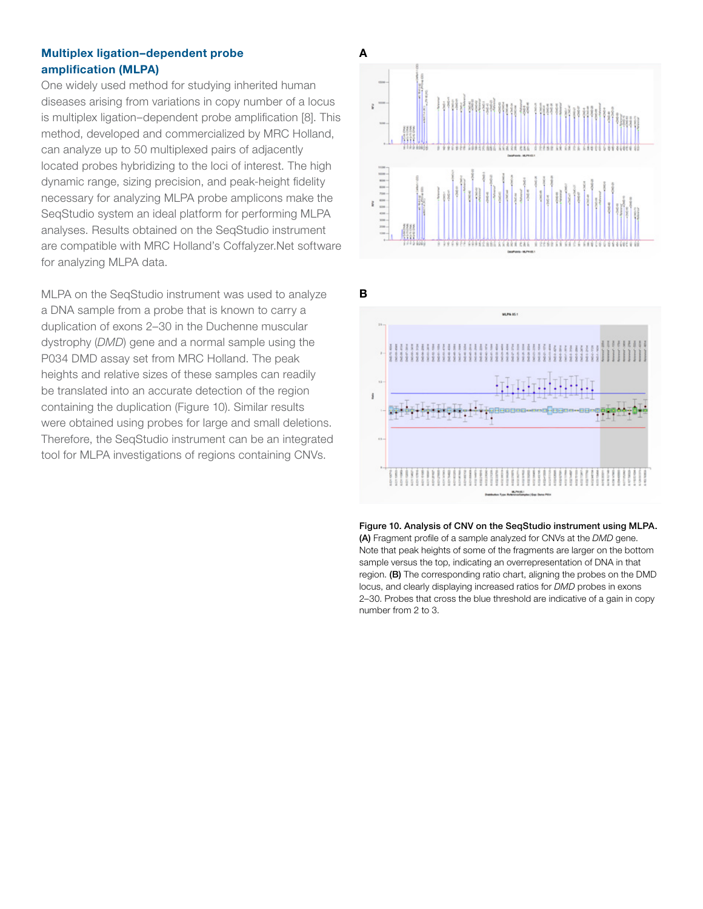#### Multiplex ligation–dependent probe amplification (MLPA)

One widely used method for studying inherited human diseases arising from variations in copy number of a locus is multiplex ligation–dependent probe amplification [8]. This method, developed and commercialized by MRC Holland, can analyze up to 50 multiplexed pairs of adjacently located probes hybridizing to the loci of interest. The high dynamic range, sizing precision, and peak-height fidelity necessary for analyzing MLPA probe amplicons make the SeqStudio system an ideal platform for performing MLPA analyses. Results obtained on the SeqStudio instrument are compatible with MRC Holland's Coffalyzer.Net software for analyzing MLPA data.

MLPA on the SeqStudio instrument was used to analyze a DNA sample from a probe that is known to carry a duplication of exons 2–30 in the Duchenne muscular dystrophy (*DMD*) gene and a normal sample using the P034 DMD assay set from MRC Holland. The peak heights and relative sizes of these samples can readily be translated into an accurate detection of the region containing the duplication (Figure 10). Similar results were obtained using probes for large and small deletions. Therefore, the SeqStudio instrument can be an integrated tool for MLPA investigations of regions containing CNVs.



B



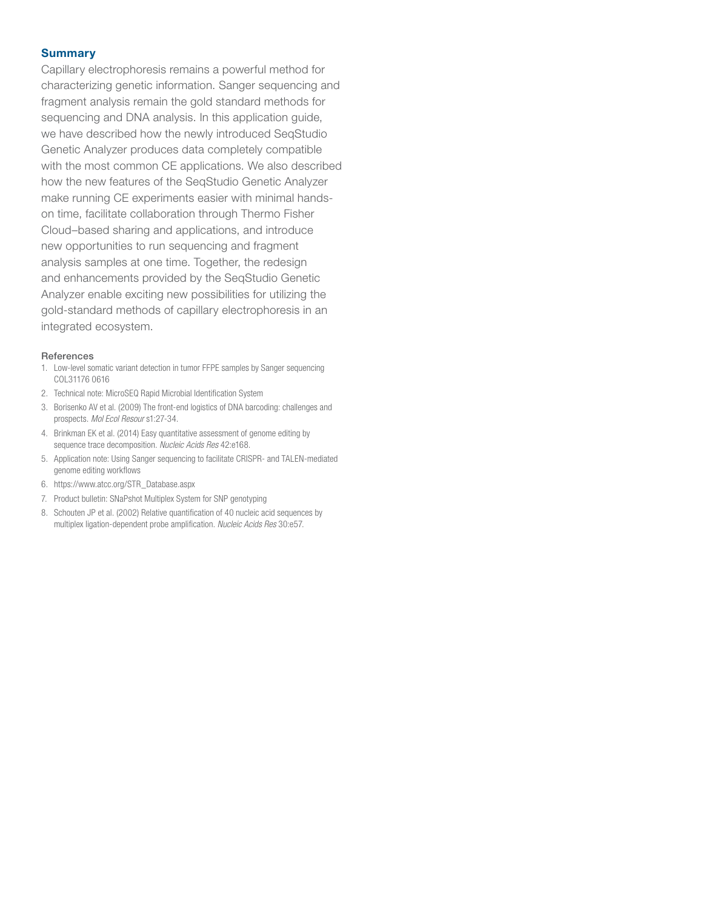#### **Summary**

Capillary electrophoresis remains a powerful method for characterizing genetic information. Sanger sequencing and fragment analysis remain the gold standard methods for sequencing and DNA analysis. In this application guide, we have described how the newly introduced SeqStudio Genetic Analyzer produces data completely compatible with the most common CE applications. We also described how the new features of the SeqStudio Genetic Analyzer make running CE experiments easier with minimal handson time, facilitate collaboration through Thermo Fisher Cloud–based sharing and applications, and introduce new opportunities to run sequencing and fragment analysis samples at one time. Together, the redesign and enhancements provided by the SeqStudio Genetic Analyzer enable exciting new possibilities for utilizing the gold-standard methods of capillary electrophoresis in an integrated ecosystem.

#### **References**

- 1. Low-level somatic variant detection in tumor FFPE samples by Sanger sequencing COL31176 0616
- 2. [Technical note: MicroSEQ Rapid Microbial Identification System](https://www.thermofisher.com/content/dam/LifeTech/global/life-sciences/bioproduction/PDFs/co27628-microseq-id-own-your-data-tech-note.pdf)
- 3. Borisenko AV et al. (2009) The front-end logistics of DNA barcoding: challenges and prospects. *Mol Ecol Resour* s1:27-34.
- 4. Brinkman EK et al. (2014) Easy quantitative assessment of genome editing by sequence trace decomposition. *Nucleic Acids Res* 42:e168.
- 5. [Application note: Using Sanger sequencing to facilitate CRISPR- and TALEN-mediated](https://tools.thermofisher.com/content/sfs/brochures/sanger-crispr-workflow-app-note.pdf)  [genome editing workflows](https://tools.thermofisher.com/content/sfs/brochures/sanger-crispr-workflow-app-note.pdf)
- 6. https://www.atcc.org/STR\_Database.aspx
- 7. [Product bulletin: SNaPshot Multiplex System for SNP genotyping](https://tools.thermofisher.com/content/sfs/brochures/cms_101014.pdf)
- 8. Schouten JP et al. (2002) Relative quantification of 40 nucleic acid sequences by multiplex ligation-dependent probe amplification. *Nucleic Acids Res* 30:e57.